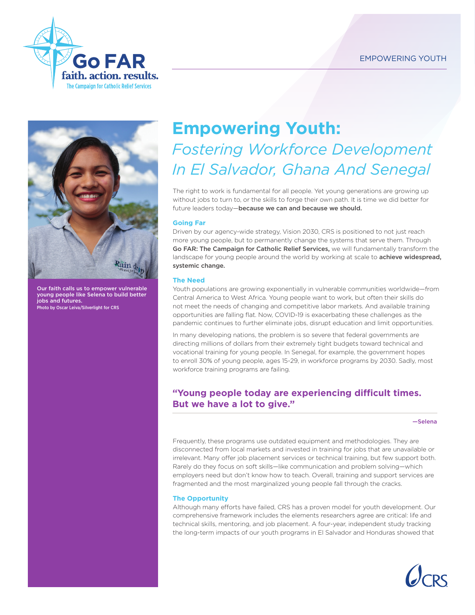



Our faith calls us to empower vulnerable young people like Selena to build better jobs and futures. .<br>Photo by Oscar Leiva/Silverlight for CRS

# **Empowering Youth:**  *Fostering Workforce Development In El Salvador, Ghana And Senegal*

The right to work is fundamental for all people. Yet young generations are growing up without jobs to turn to, or the skills to forge their own path. It is time we did better for future leaders today—because we can and because we should.

## **Going Far**

Driven by our agency-wide strategy, Vision 2030, CRS is positioned to not just reach more young people, but to permanently change the systems that serve them. Through Go FAR: The Campaign for Catholic Relief Services, we will fundamentally transform the landscape for young people around the world by working at scale to **achieve widespread,** systemic change.

### **The Need**

Youth populations are growing exponentially in vulnerable communities worldwide—from Central America to West Africa. Young people want to work, but often their skills do not meet the needs of changing and competitive labor markets. And available training opportunities are falling flat. Now, COVID-19 is exacerbating these challenges as the pandemic continues to further eliminate jobs, disrupt education and limit opportunities.

In many developing nations, the problem is so severe that federal governments are directing millions of dollars from their extremely tight budgets toward technical and vocational training for young people. In Senegal, for example, the government hopes to enroll 30% of young people, ages 15-29, in workforce programs by 2030. Sadly, most workforce training programs are failing.

## **"Young people today are experiencing difficult times. But we have a lot to give."**

—Selena

Frequently, these programs use outdated equipment and methodologies. They are disconnected from local markets and invested in training for jobs that are unavailable or irrelevant. Many offer job placement services or technical training, but few support both. Rarely do they focus on soft skills—like communication and problem solving—which employers need but don't know how to teach. Overall, training and support services are fragmented and the most marginalized young people fall through the cracks.

## **The Opportunity**

Although many efforts have failed, CRS has a proven model for youth development. Our comprehensive framework includes the elements researchers agree are critical: life and technical skills, mentoring, and job placement. A four-year, independent study tracking the long-term impacts of our youth programs in El Salvador and Honduras showed that